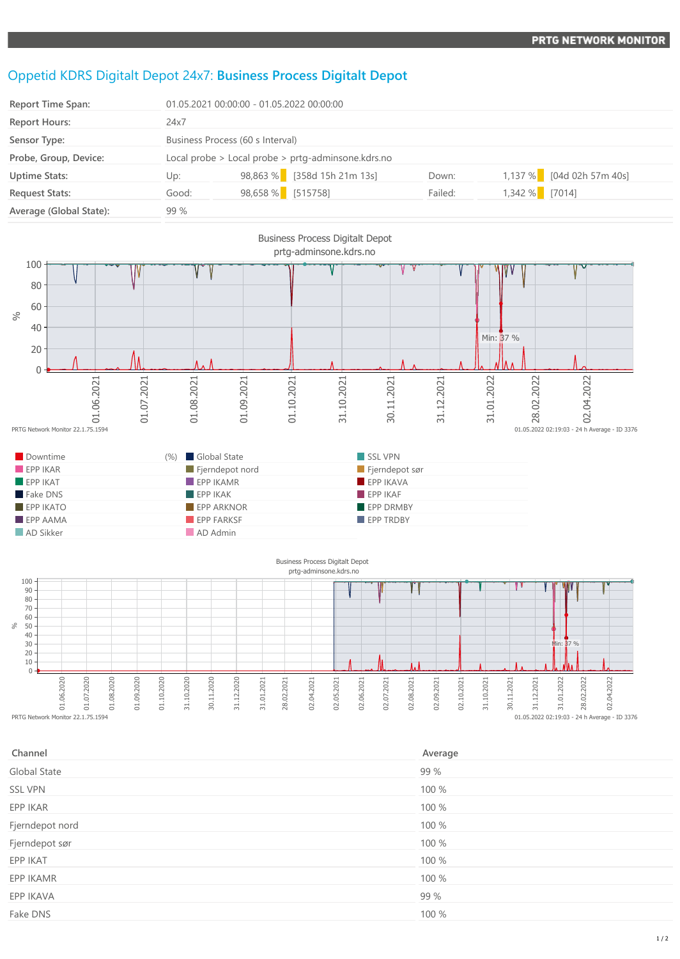## Oppetid KDRS Digitalt Depot 24x7: **Business Process Digitalt Depot**

| <b>Report Time Span:</b> | 01.05.2021 00:00:00 - 01.05.2022 00:00:00 |                                                    |         |                           |  |  |
|--------------------------|-------------------------------------------|----------------------------------------------------|---------|---------------------------|--|--|
| <b>Report Hours:</b>     | 24x7                                      |                                                    |         |                           |  |  |
| Sensor Type:             |                                           | Business Process (60 s Interval)                   |         |                           |  |  |
| Probe, Group, Device:    |                                           | Local probe > Local probe > prtg-adminsone.kdrs.no |         |                           |  |  |
| <b>Uptime Stats:</b>     | Up:                                       | 98,863 % [358d 15h 21m 13s]                        | Down:   | 1,137 % [04d 02h 57m 40s] |  |  |
| <b>Request Stats:</b>    | Good:                                     | 98,658 % [515758]                                  | Failed: | 1,342 % [7014]            |  |  |
| Average (Global State):  | 99 %                                      |                                                    |         |                           |  |  |



| Channel         | Average |
|-----------------|---------|
| Global State    | 99 %    |
| <b>SSL VPN</b>  | 100 %   |
| EPP IKAR        | 100 %   |
| Fjerndepot nord | 100 %   |
| Fjerndepot sør  | 100 %   |
| EPP IKAT        | 100 %   |
| EPP IKAMR       | 100 %   |
| EPP IKAVA       | 99 %    |
| Fake DNS        | 100 %   |

## 1 / 2

 $\begin{array}{c} 0.05 & 0.7 \\ 0.05 & 0.22 \\ 0.02 & 0.28 \\ 0.03 & -24 \\ \end{array}$  Average - ID 3376